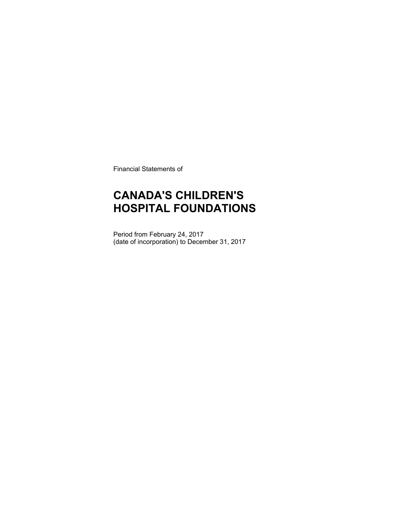Financial Statements of

### **CANADA'S CHILDREN'S HOSPITAL FOUNDATIONS**

Period from February 24, 2017 (date of incorporation) to December 31, 2017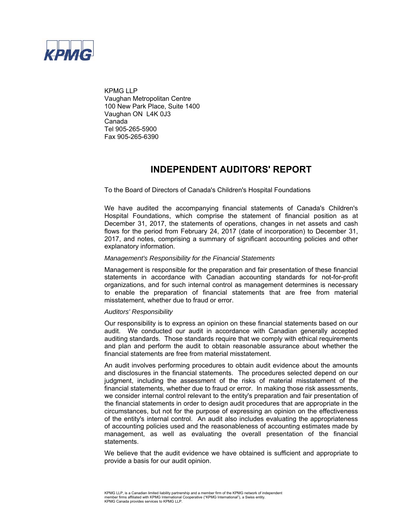

KPMG LLP Vaughan Metropolitan Centre 100 New Park Place, Suite 1400 Vaughan ON L4K 0J3 Canada Tel 905-265-5900 Fax 905-265-6390

### **INDEPENDENT AUDITORS' REPORT**

To the Board of Directors of Canada's Children's Hospital Foundations

We have audited the accompanying financial statements of Canada's Children's Hospital Foundations, which comprise the statement of financial position as at December 31, 2017, the statements of operations, changes in net assets and cash flows for the period from February 24, 2017 (date of incorporation) to December 31, 2017, and notes, comprising a summary of significant accounting policies and other explanatory information.

#### *Management's Responsibility for the Financial Statements*

Management is responsible for the preparation and fair presentation of these financial statements in accordance with Canadian accounting standards for not-for-profit organizations, and for such internal control as management determines is necessary to enable the preparation of financial statements that are free from material misstatement, whether due to fraud or error.

#### *Auditors' Responsibility*

Our responsibility is to express an opinion on these financial statements based on our audit. We conducted our audit in accordance with Canadian generally accepted auditing standards. Those standards require that we comply with ethical requirements and plan and perform the audit to obtain reasonable assurance about whether the financial statements are free from material misstatement.

An audit involves performing procedures to obtain audit evidence about the amounts and disclosures in the financial statements. The procedures selected depend on our judgment, including the assessment of the risks of material misstatement of the financial statements, whether due to fraud or error. In making those risk assessments, we consider internal control relevant to the entity's preparation and fair presentation of the financial statements in order to design audit procedures that are appropriate in the circumstances, but not for the purpose of expressing an opinion on the effectiveness of the entity's internal control. An audit also includes evaluating the appropriateness of accounting policies used and the reasonableness of accounting estimates made by management, as well as evaluating the overall presentation of the financial statements.

We believe that the audit evidence we have obtained is sufficient and appropriate to provide a basis for our audit opinion.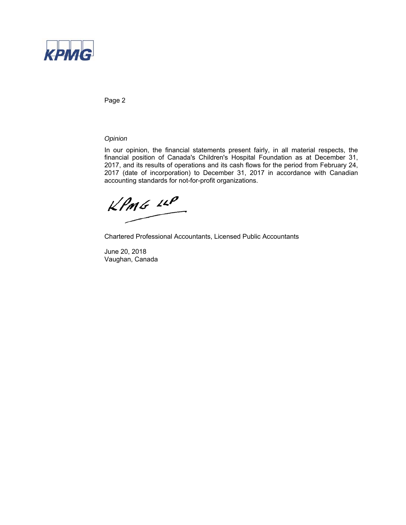

Page 2

*Opinion*

In our opinion, the financial statements present fairly, in all material respects, the financial position of Canada's Children's Hospital Foundation as at December 31, 2017, and its results of operations and its cash flows for the period from February 24, 2017 (date of incorporation) to December 31, 2017 in accordance with Canadian accounting standards for not-for-profit organizations.

 $KPMG$  14P

Chartered Professional Accountants, Licensed Public Accountants

June 20, 2018 Vaughan, Canada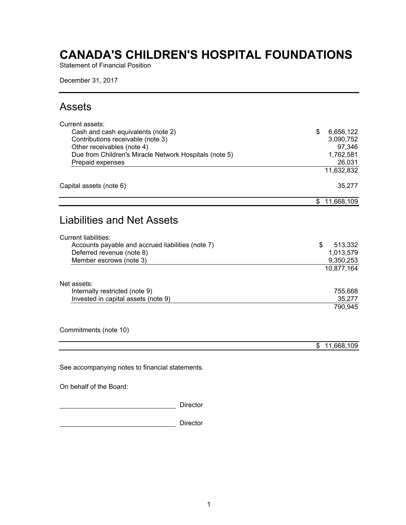Statement of Financial Position

December 31, 2017

### Assets

| Current assets:                                        |                  |
|--------------------------------------------------------|------------------|
| Cash and cash equivalents (note 2)                     | 6,656,122<br>\$  |
| Contributions receivable (note 3)                      | 3,090,752        |
| Other receivables (note 4)                             | 97,346           |
| Due from Children's Miracle Network Hospitals (note 5) | 1,762,581        |
| Prepaid expenses                                       | 26,031           |
|                                                        | 11,632,832       |
| Capital assets (note 6)                                | 35,277           |
|                                                        | 11,668,109<br>\$ |
|                                                        |                  |
| <b>Liabilities and Net Assets</b>                      |                  |
| <b>Current liabilities:</b>                            |                  |
| Accounts payable and accrued liabilities (note 7)      | \$<br>513,332    |
| Deferred revenue (note 8)                              | 1,013,579        |
| Member escrows (note 3)                                | 9,350,253        |
|                                                        | 10,877,164       |
| Net assets:                                            |                  |
| Internally restricted (note 9)                         | 755,668          |
| Invested in capital assets (note 9)                    | 35,277           |
|                                                        | 790,945          |
|                                                        |                  |
| Commitments (note 10)                                  |                  |
|                                                        | 11,668,109<br>\$ |
|                                                        |                  |
| See accompanying notes to financial statements.        |                  |

On behalf of the Board:

**Director** Director

Director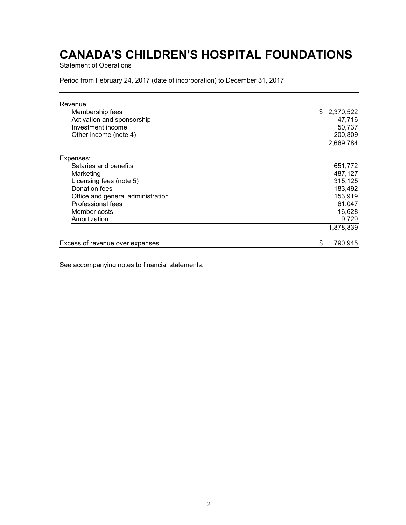Statement of Operations

Period from February 24, 2017 (date of incorporation) to December 31, 2017

| Revenue:                          |               |
|-----------------------------------|---------------|
| Membership fees                   | \$2,370,522   |
| Activation and sponsorship        | 47,716        |
| Investment income                 | 50,737        |
| Other income (note 4)             | 200,809       |
|                                   | 2,669,784     |
| Expenses:                         |               |
| Salaries and benefits             | 651,772       |
| Marketing                         | 487,127       |
| Licensing fees (note 5)           | 315,125       |
| Donation fees                     | 183,492       |
| Office and general administration | 153,919       |
| Professional fees                 | 61,047        |
| Member costs                      | 16,628        |
| Amortization                      | 9,729         |
|                                   | 1,878,839     |
| Excess of revenue over expenses   | \$<br>790,945 |

See accompanying notes to financial statements.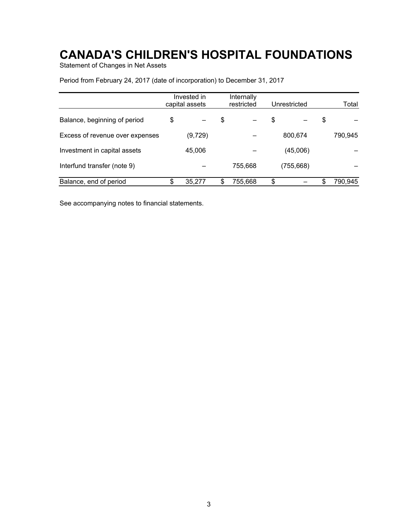Statement of Changes in Net Assets

|                                 | Invested in<br>capital assets |    | Internally<br>restricted | Unrestricted |    | Total   |
|---------------------------------|-------------------------------|----|--------------------------|--------------|----|---------|
| Balance, beginning of period    | \$                            | \$ |                          | \$           | \$ |         |
| Excess of revenue over expenses | (9, 729)                      |    |                          | 800,674      |    | 790,945 |
| Investment in capital assets    | 45,006                        |    |                          | (45,006)     |    |         |
| Interfund transfer (note 9)     |                               |    | 755,668                  | (755, 668)   |    |         |
| Balance, end of period          | \$<br>35.277                  | S  | 755,668                  | \$           | S  | 790,945 |

Period from February 24, 2017 (date of incorporation) to December 31, 2017

See accompanying notes to financial statements.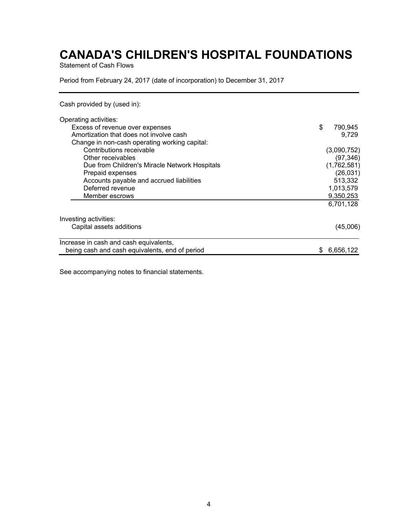Statement of Cash Flows

Period from February 24, 2017 (date of incorporation) to December 31, 2017

Cash provided by (used in):

| Operating activities:                          |    |             |
|------------------------------------------------|----|-------------|
| Excess of revenue over expenses                | \$ | 790,945     |
| Amortization that does not involve cash        |    | 9.729       |
| Change in non-cash operating working capital:  |    |             |
| Contributions receivable                       |    | (3,090,752) |
| Other receivables                              |    | (97, 346)   |
| Due from Children's Miracle Network Hospitals  |    | (1,762,581) |
| Prepaid expenses                               |    | (26, 031)   |
| Accounts payable and accrued liabilities       |    | 513,332     |
| Deferred revenue                               |    | 1,013,579   |
| Member escrows                                 |    | 9,350,253   |
|                                                |    | 6,701,128   |
| Investing activities:                          |    |             |
| Capital assets additions                       |    | (45,006)    |
| Increase in cash and cash equivalents,         |    |             |
| being cash and cash equivalents, end of period | æ. | 6,656,122   |

See accompanying notes to financial statements.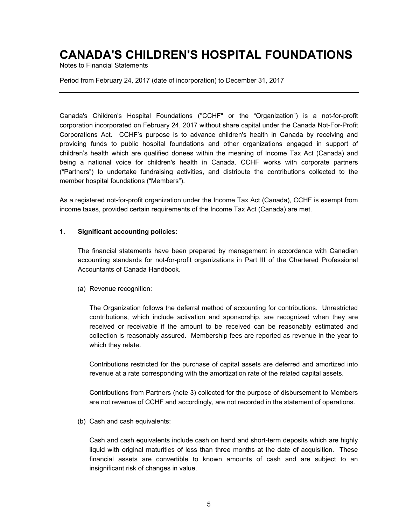Notes to Financial Statements

Period from February 24, 2017 (date of incorporation) to December 31, 2017

Canada's Children's Hospital Foundations ("CCHF" or the "Organization") is a not-for-profit corporation incorporated on February 24, 2017 without share capital under the Canada Not-For-Profit Corporations Act. CCHF's purpose is to advance children's health in Canada by receiving and providing funds to public hospital foundations and other organizations engaged in support of children's health which are qualified donees within the meaning of Income Tax Act (Canada) and being a national voice for children's health in Canada. CCHF works with corporate partners ("Partners") to undertake fundraising activities, and distribute the contributions collected to the member hospital foundations ("Members").

As a registered not-for-profit organization under the Income Tax Act (Canada), CCHF is exempt from income taxes, provided certain requirements of the Income Tax Act (Canada) are met.

### **1. Significant accounting policies:**

The financial statements have been prepared by management in accordance with Canadian accounting standards for not-for-profit organizations in Part III of the Chartered Professional Accountants of Canada Handbook.

(a) Revenue recognition:

The Organization follows the deferral method of accounting for contributions. Unrestricted contributions, which include activation and sponsorship, are recognized when they are received or receivable if the amount to be received can be reasonably estimated and collection is reasonably assured. Membership fees are reported as revenue in the year to which they relate.

Contributions restricted for the purchase of capital assets are deferred and amortized into revenue at a rate corresponding with the amortization rate of the related capital assets.

Contributions from Partners (note 3) collected for the purpose of disbursement to Members are not revenue of CCHF and accordingly, are not recorded in the statement of operations.

(b) Cash and cash equivalents:

Cash and cash equivalents include cash on hand and short-term deposits which are highly liquid with original maturities of less than three months at the date of acquisition. These financial assets are convertible to known amounts of cash and are subject to an insignificant risk of changes in value.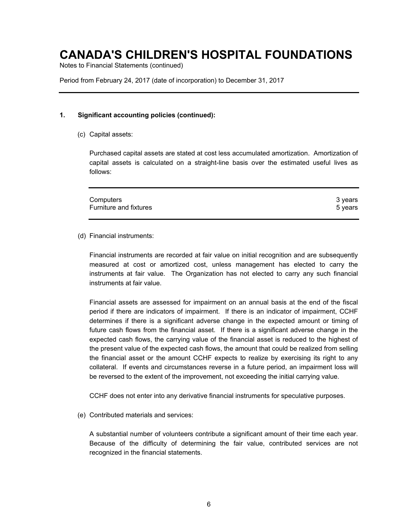Notes to Financial Statements (continued)

Period from February 24, 2017 (date of incorporation) to December 31, 2017

#### **1. Significant accounting policies (continued):**

(c) Capital assets:

Purchased capital assets are stated at cost less accumulated amortization. Amortization of capital assets is calculated on a straight-line basis over the estimated useful lives as follows:

| Computers              | 3 vears |
|------------------------|---------|
| Furniture and fixtures | 5 vears |
|                        |         |

#### (d) Financial instruments:

Financial instruments are recorded at fair value on initial recognition and are subsequently measured at cost or amortized cost, unless management has elected to carry the instruments at fair value. The Organization has not elected to carry any such financial instruments at fair value.

Financial assets are assessed for impairment on an annual basis at the end of the fiscal period if there are indicators of impairment. If there is an indicator of impairment, CCHF determines if there is a significant adverse change in the expected amount or timing of future cash flows from the financial asset. If there is a significant adverse change in the expected cash flows, the carrying value of the financial asset is reduced to the highest of the present value of the expected cash flows, the amount that could be realized from selling the financial asset or the amount CCHF expects to realize by exercising its right to any collateral. If events and circumstances reverse in a future period, an impairment loss will be reversed to the extent of the improvement, not exceeding the initial carrying value.

CCHF does not enter into any derivative financial instruments for speculative purposes.

(e) Contributed materials and services:

A substantial number of volunteers contribute a significant amount of their time each year. Because of the difficulty of determining the fair value, contributed services are not recognized in the financial statements.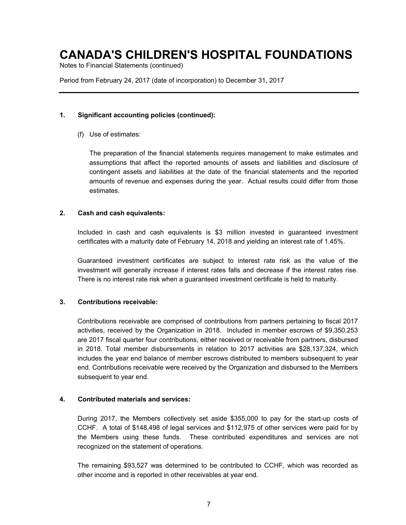Notes to Financial Statements (continued)

Period from February 24, 2017 (date of incorporation) to December 31, 2017

### **1. Significant accounting policies (continued):**

(f) Use of estimates:

The preparation of the financial statements requires management to make estimates and assumptions that affect the reported amounts of assets and liabilities and disclosure of contingent assets and liabilities at the date of the financial statements and the reported amounts of revenue and expenses during the year. Actual results could differ from those estimates.

### **2. Cash and cash equivalents:**

Included in cash and cash equivalents is \$3 million invested in guaranteed investment certificates with a maturity date of February 14, 2018 and yielding an interest rate of 1.45%.

Guaranteed investment certificates are subject to interest rate risk as the value of the investment will generally increase if interest rates falls and decrease if the interest rates rise. There is no interest rate risk when a guaranteed investment certificate is held to maturity.

### **3. Contributions receivable:**

Contributions receivable are comprised of contributions from partners pertaining to fiscal 2017 activities, received by the Organization in 2018. Included in member escrows of \$9,350,253 are 2017 fiscal quarter four contributions, either received or receivable from partners, disbursed in 2018. Total member disbursements in relation to 2017 activities are \$28,137,324, which includes the year end balance of member escrows distributed to members subsequent to year end. Contributions receivable were received by the Organization and disbursed to the Members subsequent to year end.

#### **4. Contributed materials and services:**

During 2017, the Members collectively set aside \$355,000 to pay for the start-up costs of CCHF. A total of \$148,498 of legal services and \$112,975 of other services were paid for by the Members using these funds. These contributed expenditures and services are not recognized on the statement of operations.

The remaining \$93,527 was determined to be contributed to CCHF, which was recorded as other income and is reported in other receivables at year end.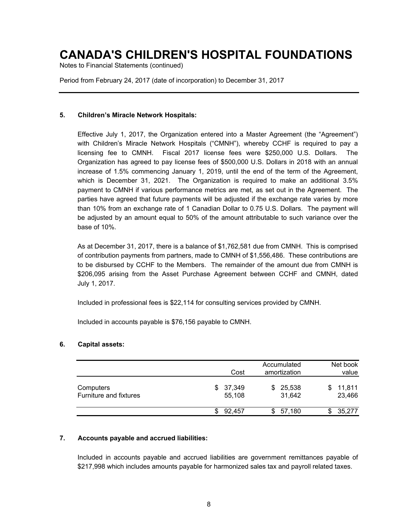Notes to Financial Statements (continued)

Period from February 24, 2017 (date of incorporation) to December 31, 2017

### **5. Children's Miracle Network Hospitals:**

Effective July 1, 2017, the Organization entered into a Master Agreement (the "Agreement") with Children's Miracle Network Hospitals ("CMNH"), whereby CCHF is required to pay a licensing fee to CMNH. Fiscal 2017 license fees were \$250,000 U.S. Dollars. The Organization has agreed to pay license fees of \$500,000 U.S. Dollars in 2018 with an annual increase of 1.5% commencing January 1, 2019, until the end of the term of the Agreement, which is December 31, 2021. The Organization is required to make an additional 3.5% payment to CMNH if various performance metrics are met, as set out in the Agreement. The parties have agreed that future payments will be adjusted if the exchange rate varies by more than 10% from an exchange rate of 1 Canadian Dollar to 0.75 U.S. Dollars. The payment will be adjusted by an amount equal to 50% of the amount attributable to such variance over the base of 10%.

As at December 31, 2017, there is a balance of \$1,762,581 due from CMNH. This is comprised of contribution payments from partners, made to CMNH of \$1,556,486. These contributions are to be disbursed by CCHF to the Members. The remainder of the amount due from CMNH is \$206,095 arising from the Asset Purchase Agreement between CCHF and CMNH, dated July 1, 2017.

Included in professional fees is \$22,114 for consulting services provided by CMNH.

Included in accounts payable is \$76,156 payable to CMNH.

### **6. Capital assets:**

|                                     | Cost                   |    | Accumulated<br>amortization |   | Net book<br>value |
|-------------------------------------|------------------------|----|-----------------------------|---|-------------------|
| Computers<br>Furniture and fixtures | \$<br>37,349<br>55,108 | S. | 25,538<br>31,642            | S | 11,811<br>23,466  |
|                                     | 92.457                 |    | 57,180                      |   | 35,277            |

### **7. Accounts payable and accrued liabilities:**

Included in accounts payable and accrued liabilities are government remittances payable of \$217,998 which includes amounts payable for harmonized sales tax and payroll related taxes.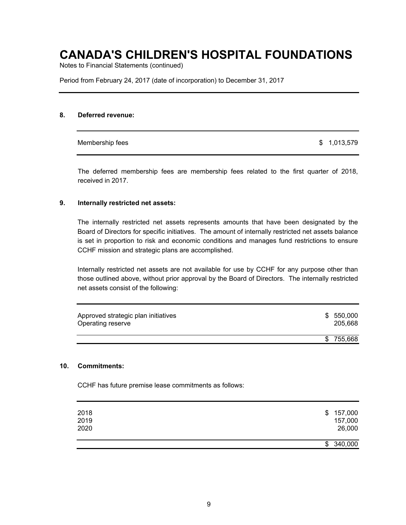Notes to Financial Statements (continued)

Period from February 24, 2017 (date of incorporation) to December 31, 2017

### **8. Deferred revenue:**

Membership fees  $\qquad \qquad$  1,013,579

The deferred membership fees are membership fees related to the first quarter of 2018, received in 2017.

#### **9. Internally restricted net assets:**

The internally restricted net assets represents amounts that have been designated by the Board of Directors for specific initiatives. The amount of internally restricted net assets balance is set in proportion to risk and economic conditions and manages fund restrictions to ensure CCHF mission and strategic plans are accomplished.

Internally restricted net assets are not available for use by CCHF for any purpose other than those outlined above, without prior approval by the Board of Directors. The internally restricted net assets consist of the following:

| Approved strategic plan initiatives<br>Operating reserve |     | \$550,000<br>205,668 |
|----------------------------------------------------------|-----|----------------------|
|                                                          | \$. | 755,668              |

#### **10. Commitments:**

CCHF has future premise lease commitments as follows:

| 2018 | \$157,000 |
|------|-----------|
| 2019 | 157,000   |
| 2020 | 26,000    |
|      | \$340,000 |